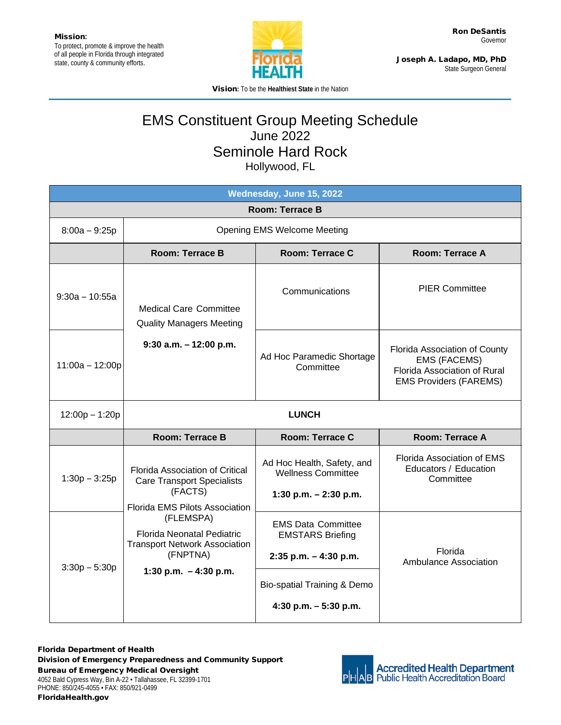

Joseph A. Ladapo, MD, PhD State Surgeon General

Vision**:** To be the **Healthiest State** in the Nation

## EMS Constituent Group Meeting Schedule June 2022 Seminole Hard Rock Hollywood, FL

| Wednesday, June 15, 2022 |                                                                                                                                                                                                                                                   |                                                                                    |                                                                                                                       |  |  |
|--------------------------|---------------------------------------------------------------------------------------------------------------------------------------------------------------------------------------------------------------------------------------------------|------------------------------------------------------------------------------------|-----------------------------------------------------------------------------------------------------------------------|--|--|
| <b>Room: Terrace B</b>   |                                                                                                                                                                                                                                                   |                                                                                    |                                                                                                                       |  |  |
| $8:00a - 9:25p$          | <b>Opening EMS Welcome Meeting</b>                                                                                                                                                                                                                |                                                                                    |                                                                                                                       |  |  |
|                          | <b>Room: Terrace B</b>                                                                                                                                                                                                                            | <b>Room: Terrace C</b>                                                             | <b>Room: Terrace A</b>                                                                                                |  |  |
| $9:30a - 10:55a$         | <b>Medical Care Committee</b><br><b>Quality Managers Meeting</b><br>$9:30$ a.m. $-12:00$ p.m.                                                                                                                                                     | Communications                                                                     | <b>PIER Committee</b>                                                                                                 |  |  |
| $11:00a - 12:00p$        |                                                                                                                                                                                                                                                   | Ad Hoc Paramedic Shortage<br>Committee                                             | Florida Association of County<br><b>EMS (FACEMS)</b><br>Florida Association of Rural<br><b>EMS Providers (FAREMS)</b> |  |  |
| $12:00p - 1:20p$         | <b>LUNCH</b>                                                                                                                                                                                                                                      |                                                                                    |                                                                                                                       |  |  |
|                          | Room: Terrace B                                                                                                                                                                                                                                   | Room: Terrace C                                                                    | Room: Terrace A                                                                                                       |  |  |
| $1:30p - 3:25p$          | Florida Association of Critical<br><b>Care Transport Specialists</b><br>(FACTS)<br><b>Florida EMS Pilots Association</b><br>(FLEMSPA)<br>Florida Neonatal Pediatric<br><b>Transport Network Association</b><br>(FNPTNA)<br>1:30 p.m. $-4:30$ p.m. | Ad Hoc Health, Safety, and<br><b>Wellness Committee</b><br>1:30 p.m. $- 2:30$ p.m. | Florida Association of EMS<br>Educators / Education<br>Committee                                                      |  |  |
| $3:30p - 5:30p$          |                                                                                                                                                                                                                                                   | <b>EMS Data Committee</b><br><b>EMSTARS Briefing</b><br>$2:35$ p.m. $-4:30$ p.m.   | <b>Florida</b><br><b>Ambulance Association</b>                                                                        |  |  |
|                          |                                                                                                                                                                                                                                                   | Bio-spatial Training & Demo<br>4:30 p.m. $-5:30$ p.m.                              |                                                                                                                       |  |  |